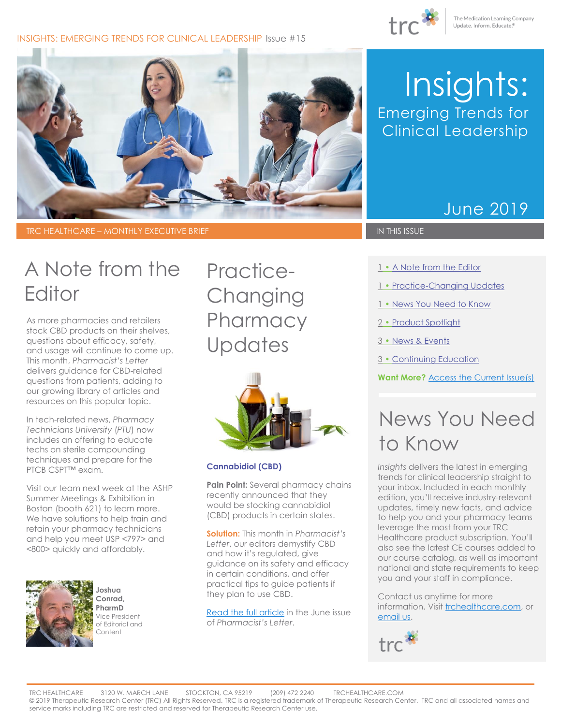#### INSIGHTS: EMERGING TRENDS FOR CLINICAL LEADERSHIP Issue #15





TRC HEALTHCARE – MONTHLY EXECUTIVE BRIEF IN THIS ISSUE IN THIS ISSUE

# Insights: Emerging Trends for Clinical Leadership

### June 2019

# A Note from the Editor

As more pharmacies and retailers stock CBD products on their shelves, questions about efficacy, safety, and usage will continue to come up. This month, *Pharmacist's Letter* delivers guidance for CBD-related questions from patients, adding to our growing library of articles and resources on this popular topic.

In tech-related news, *Pharmacy Technicians University* (*PTU*) now includes an offering to educate techs on sterile compounding techniques and prepare for the PTCB CSPT™ exam.

Visit our team next week at the ASHP Summer Meetings & Exhibition in Boston (booth 621) to learn more. We have solutions to help train and retain your pharmacy technicians and help you meet USP <797> and <800> quickly and affordably.



**Joshua Conrad, PharmD** Vice President of Editorial and Content

<span id="page-0-0"></span>Practice-**Changing Pharmacy Updates** 



#### **Cannabidiol (CBD)**

**Pain Point:** Several pharmacy chains recently announced that they would be stocking cannabidiol (CBD) products in certain states.

**Solution:** This month in *Pharmacist's Letter*, our editors demystify CBD and how it's regulated, give guidance on its safety and efficacy in certain conditions, and offer practical tips to guide patients if they plan to use CBD.

[Read the full article](https://pharmacist.therapeuticresearch.com/Content/Articles/PL/2019/Jun/Be-Prepared-for-Patients-to-Ask-About-CBD) in the June issue of *Pharmacist's Letter*.

- 1 A Note from the Editor
- 1 [Practice-Changing Updates](#page-0-0)
- 1 [News You Need to Know](#page-0-1)
- 2 [Product Spotlight](#page-1-0)
- 3 [News & Events](#page-2-0)
- 3 [Continuing Education](#page-2-1)

**Want More?** [Access the Current Issue\(s\)](http://trchealthcare.com/login)

# <span id="page-0-1"></span>News You Need to Know

*Insights* delivers the latest in emerging trends for clinical leadership straight to your inbox. Included in each monthly edition, you'll receive industry-relevant updates, timely new facts, and advice to help you and your pharmacy teams leverage the most from your TRC Healthcare product subscription. You'll also see the latest CE courses added to our course catalog, as well as important national and state requirements to keep you and your staff in compliance.

Contact us anytime for more information. Visit [trchealthcare.com,](http://trchealthcare.com/) or [email](mailto:marketing@trchealthcare.com?subject=Insights%20Newsletter%20Inquiry%20June%202019) us.

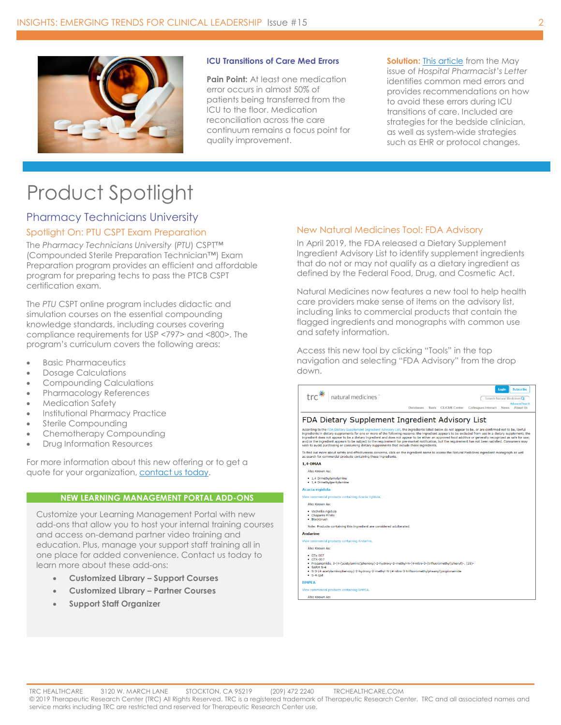

#### **ICU Transitions of Care Med Errors**

**Pain Point:** At least one medication error occurs in almost 50% of patients being transferred from the ICU to the floor. Medication reconciliation across the care continuum remains a focus point for quality improvement.

**Solution:** [This article](https://hospital-pharmacist.therapeuticresearch.com/Content/Articles/PLH/2019/May/Prevent-Med-Errors-at-ICU-Transitions-of-Care) from the May issue of *Hospital Pharmacist's Letter* identifies common med errors and provides recommendations on how to avoid these errors during ICU transitions of care. Included are strategies for the bedside clinician, as well as system-wide strategies such as EHR or protocol changes.

# <span id="page-1-0"></span>Product Spotlight

### Pharmacy Technicians University Spotlight On: PTU CSPT Exam Preparation

The *Pharmacy Technicians University* (*PTU*) CSPT™ (Compounded Sterile Preparation Technician™) Exam Preparation program provides an efficient and affordable program for preparing techs to pass the PTCB CSPT certification exam.

The *PTU* CSPT online program includes didactic and simulation courses on the essential compounding knowledge standards, including courses covering compliance requirements for USP <797> and <800>. The program's curriculum covers the following areas:

- Basic Pharmaceutics
- Dosage Calculations
- Compounding Calculations
- Pharmacology References
- Medication Safety
- Institutional Pharmacy Practice
- Sterile Compounding
- Chemotherapy Compounding
- Drug Information Resources

For more information about this new offering or to get a quote for your organization, contact us today.

#### **NEW LEARNING MANAGEMENT PORTAL ADD-ONS**

Customize your Learning Management Portal with new add-ons that allow you to host your internal training courses and access on-demand partner video training and education. Plus, manage your support staff training all in one place for added convenience. Contact us today to learn more about these add-ons:

- **Customized Library – Support Courses**
- **Customized Library – Partner Courses**
- **Support Staff Organizer**

#### New Natural Medicines Tool: FDA Advisory

In April 2019, the FDA released a Dietary Supplement Ingredient Advisory List to identify supplement ingredients that do not or may not qualify as a dietary ingredient as defined by the Federal Food, Drug, and Cosmetic Act.

Natural Medicines now features a new tool to help health care providers make sense of items on the advisory list, including links to commercial products that contain the flagged ingredients and monographs with common use and safety information.

Access this new tool by clicking "Tools" in the top navigation and selecting "FDA Advisory" from the drop down.

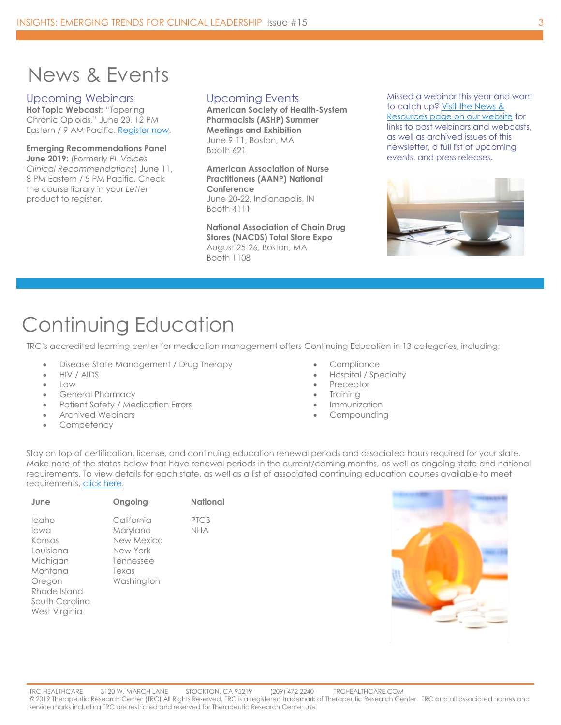## <span id="page-2-0"></span>News & Events

#### Upcoming Webinars

**Hot Topic Webcast:** "Tapering Chronic Opioids." June 20, 12 PM Eastern / 9 AM Pacific. [Register now.](https://goto.webcasts.com/starthere.jsp?ei=1248829&tp_key=b0f73ebe29) 

**Emerging Recommendations Panel June 2019:** (Formerly *PL Voices Clinical Recommendations*) June 11, 8 PM Eastern / 5 PM Pacific. Check the course library in your *Letter*  product to register.

### Upcoming Events

**American Society of Health-System Pharmacists (ASHP) Summer Meetings and Exhibition** June 9-11, Boston, MA Booth 621

**American Association of Nurse Practitioners (AANP) National Conference** June 20-22, Indianapolis, IN Booth 4111

**National Association of Chain Drug Stores (NACDS) Total Store Expo** August 25-26, Boston, MA Booth 1108

Missed a webinar this year and want to catch up? Visit [the News &](https://trchealthcare.com/about-us/news-and-resources/webinars/)  [Resources page on](https://trchealthcare.com/about-us/news-and-resources/webinars/) our website for links to past webinars and webcasts, as well as archived issues of this newsletter, a full list of upcoming events, and press releases.



## <span id="page-2-1"></span>Continuing Education

TRC's accredited learning center for medication management offers Continuing Education in 13 categories, including:

- Disease State Management / Drug Therapy
- HIV / AIDS
- Law
- General Pharmacy
- Patient Safety / Medication Errors
- Archived Webinars
- **Competency**
- Compliance
- Hospital / Specialty
- **Preceptor**
- **Training**
- **Immunization**
- **Compounding**

Stay on top of certification, license, and continuing education renewal periods and associated hours required for your state. Make note of the states below that have renewal periods in the current/coming months, as well as ongoing state and national requirements. To view details for each state, as well as a list of associated continuing education courses available to meet requirements[, click here.](https://cdn2.hubspot.net/hubfs/229441/Email-Images/Insights%20Enterprise%20Newsletter%20Assets/TRCHealthcare_State_National_CE_May2019-July2019.pdf)

|                                                                                                                                                                                                                  | PTCB |
|------------------------------------------------------------------------------------------------------------------------------------------------------------------------------------------------------------------|------|
| California<br>Idaho<br>Maryland<br>lowa<br>New Mexico<br>Kansas<br>Louisiana<br>New York<br>Michigan<br>Tennessee<br>Montana<br>Texas<br>Washington<br>Oregon<br>Rhode Island<br>South Carolina<br>West Virginia | nha  |

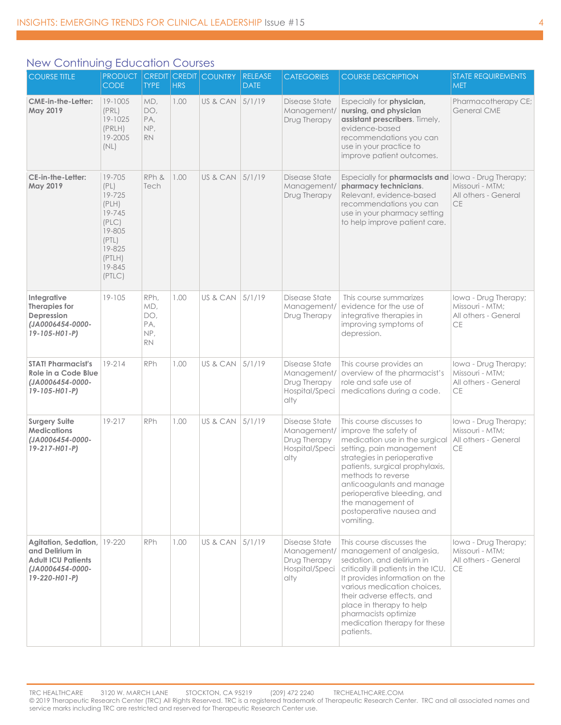### New Continuing Education Courses

| <b>COURSE TITLE</b>                                                                                       | <b>PRODUCT</b><br><b>CODE</b>                                                                                   | <b>TYPE</b>                                   | <b>HRS</b> | <b>CREDIT CREDIT COUNTRY</b> | <b>RELEASE</b><br><b>DATE</b> | <b>CATEGORIES</b>                                                      | <b>COURSE DESCRIPTION</b>                                                                                                                                                                                                                                                                                                         | <b>STATE REQUIREMENTS</b><br><b>MET</b>                                      |
|-----------------------------------------------------------------------------------------------------------|-----------------------------------------------------------------------------------------------------------------|-----------------------------------------------|------------|------------------------------|-------------------------------|------------------------------------------------------------------------|-----------------------------------------------------------------------------------------------------------------------------------------------------------------------------------------------------------------------------------------------------------------------------------------------------------------------------------|------------------------------------------------------------------------------|
| CME-in-the-Letter:<br>May 2019                                                                            | 19-1005<br>(PRL)<br>19-1025<br>(PRLH)<br>19-2005<br>(NL)                                                        | MD,<br>DO,<br>PA,<br>NP,<br><b>RN</b>         | 1.00       | US & CAN                     | 5/1/19                        | Disease State<br>Management/<br>Drug Therapy                           | Especially for physician,<br>nursing, and physician<br>assistant prescribers. Timely,<br>evidence-based<br>recommendations you can<br>use in your practice to<br>improve patient outcomes.                                                                                                                                        | Pharmacotherapy CE;<br><b>General CME</b>                                    |
| CE-in-the-Letter:<br>May 2019                                                                             | 19-705<br>(PL)<br>19-725<br>(PLH)<br>19-745<br>(PLC)<br>19-805<br>(PTL)<br>19-825<br>(PTLH)<br>19-845<br>(PTLC) | RPh &<br>Tech                                 | 1.00       | US & CAN                     | 5/1/19                        | Disease State<br>Management/<br>Drug Therapy                           | Especially for pharmacists and<br>pharmacy technicians.<br>Relevant, evidence-based<br>recommendations you can<br>use in your pharmacy setting<br>to help improve patient care.                                                                                                                                                   | Iowa - Drug Therapy;<br>Missouri - MTM;<br>All others - General<br><b>CE</b> |
| Integrative<br>Therapies for<br>Depression<br>(JA0006454-0000-<br>19-105-H01-P)                           | $19 - 105$                                                                                                      | RPh,<br>MD,<br>DO,<br>PA,<br>NP,<br><b>RN</b> | 1.00       | US & CAN                     | 5/1/19                        | Disease State<br>Management/<br>Drug Therapy                           | This course summarizes<br>evidence for the use of<br>integrative therapies in<br>improving symptoms of<br>depression.                                                                                                                                                                                                             | lowa - Drug Therapy;<br>Missouri - MTM;<br>All others - General<br>CE        |
| <b>STAT! Pharmacist's</b><br>Role in a Code Blue<br>(JA0006454-0000-<br>19-105-H01-P)                     | $19 - 214$                                                                                                      | RPh                                           | 1.00       | US & CAN                     | 5/1/19                        | Disease State<br>Management/<br>Drug Therapy<br>Hospital/Speci<br>alty | This course provides an<br>overview of the pharmacist's<br>role and safe use of<br>medications during a code.                                                                                                                                                                                                                     | Iowa - Drug Therapy;<br>Missouri - MTM:<br>All others - General<br><b>CE</b> |
| <b>Surgery Suite</b><br><b>Medications</b><br>(JA0006454-0000-<br>19-217-H01-P)                           | 19-217                                                                                                          | <b>RPh</b>                                    | 1.00       | US & CAN                     | 5/1/19                        | Disease State<br>Management/<br>Drug Therapy<br>Hospital/Speci<br>alty | This course discusses to<br>improve the safety of<br>medication use in the surgical<br>setting, pain management<br>strategies in perioperative<br>patients, surgical prophylaxis,<br>methods to reverse<br>anticoagulants and manage<br>perioperative bleeding, and<br>the management of<br>postoperative nausea and<br>vomiting. | Iowa - Drug Therapy;<br>Missouri - MTM;<br>All others - General<br>CE        |
| Agitation, Sedation,<br>and Delirium in<br><b>Adult ICU Patients</b><br>(JA0006454-0000-<br>19-220-H01-P) | 19-220                                                                                                          | <b>RPh</b>                                    | 1.00       | US & CAN                     | 5/1/19                        | Disease State<br>Management/<br>Drug Therapy<br>Hospital/Speci<br>alty | This course discusses the<br>management of analgesia,<br>sedation, and delirium in<br>critically ill patients in the ICU.<br>It provides information on the<br>various medication choices,<br>their adverse effects, and<br>place in therapy to help<br>pharmacists optimize<br>medication therapy for these<br>patients.         | Iowa - Drug Therapy;<br>Missouri - MTM;<br>All others - General<br>CE        |

TRC HEALTHCARE 3120 W. MARCH LANE STOCKTON, CA 95219 (209) 472 2240 TRCHEALTHCARE.COM © 2019 Therapeutic Research Center (TRC) All Rights Reserved. TRC is a registered trademark of Therapeutic Research Center. TRC and all associated names and service marks including TRC are restricted and reserved for Therapeutic Research Center use.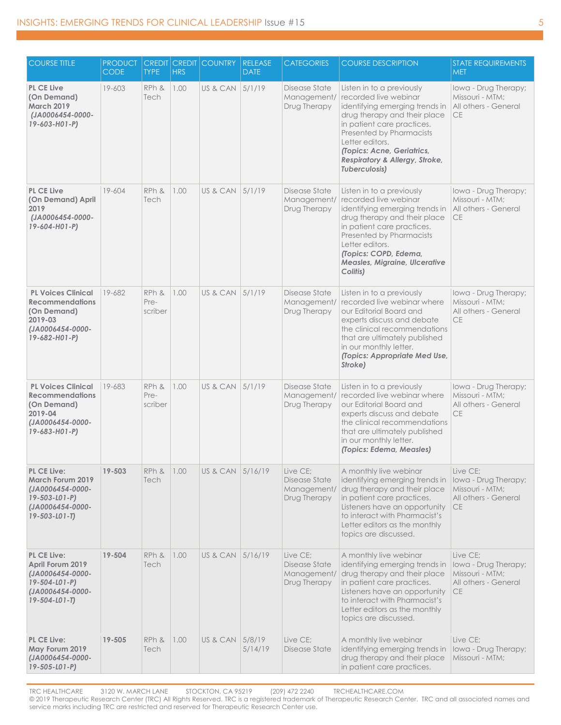| <b>COURSE TITLE</b>                                                                                                                   | <b>PRODUCT</b><br><b>CODE</b> | <b>TYPE</b>              | <b>HRS</b> | <b>CREDIT CREDIT COUNTRY</b> | <b>RELEASE</b><br><b>DATE</b> | <b>CATEGORIES</b>                                        | <b>COURSE DESCRIPTION</b>                                                                                                                                                                                                                                                          | <b>STATE REQUIREMENTS</b><br><b>MET</b>                                                  |
|---------------------------------------------------------------------------------------------------------------------------------------|-------------------------------|--------------------------|------------|------------------------------|-------------------------------|----------------------------------------------------------|------------------------------------------------------------------------------------------------------------------------------------------------------------------------------------------------------------------------------------------------------------------------------------|------------------------------------------------------------------------------------------|
| <b>PL CE Live</b><br>(On Demand)<br><b>March 2019</b><br>(JA0006454-0000-<br>$19 - 603 - H01 - P$                                     | 19-603                        | RPh &<br>Tech            | 1.00       | US & CAN                     | 5/1/19                        | Disease State<br>Management/<br>Drug Therapy             | Listen in to a previously<br>recorded live webinar<br>identifying emerging trends in<br>drug therapy and their place<br>in patient care practices.<br>Presented by Pharmacists<br>Letter editors.<br>(Topics: Acne, Geriatrics,<br>Respiratory & Allergy, Stroke,<br>Tuberculosis) | lowa - Drug Therapy;<br>Missouri - MTM;<br>All others - General<br>CE                    |
| <b>PL CE Live</b><br>(On Demand) April<br>2019<br>(JA0006454-0000-<br>19-604-H01-P)                                                   | 19-604                        | RPh &<br>Tech            | 1.00       | US & CAN 5/1/19              |                               | Disease State<br>Management/<br>Drug Therapy             | Listen in to a previously<br>recorded live webinar<br>identifying emerging trends in<br>drug therapy and their place<br>in patient care practices.<br>Presented by Pharmacists<br>Letter editors.<br>(Topics: COPD, Edema,<br>Measles, Migraine, Ulcerative<br>Colitis)            | lowa - Drug Therapy;<br>Missouri - MTM;<br>All others - General<br><b>CE</b>             |
| <b>PL Voices Clinical</b><br><b>Recommendations</b><br>(On Demand)<br>2019-03<br>(JA0006454-0000-<br>19-682-H01-P)                    | 19-682                        | RPh &<br>Pre-<br>scriber | 1.00       | US & CAN                     | 5/1/19                        | Disease State<br>Management/<br>Drug Therapy             | Listen in to a previously<br>recorded live webing where<br>our Editorial Board and<br>experts discuss and debate<br>the clinical recommendations<br>that are ultimately published<br>in our monthly letter.<br>(Topics: Appropriate Med Use,<br>Stroke)                            | Iowa - Drug Therapy;<br>Missouri - MTM:<br>All others - General<br>CE                    |
| <b>PL Voices Clinical</b><br><b>Recommendations</b><br>(On Demand)<br>2019-04<br>(JA0006454-0000-<br>19-683-H01-P)                    | 19-683                        | RPh &<br>Pre-<br>scriber | 1.00       | US & CAN                     | 5/1/19                        | Disease State<br>Management/<br>Drug Therapy             | Listen in to a previously<br>recorded live webinar where<br>our Editorial Board and<br>experts discuss and debate<br>the clinical recommendations<br>that are ultimately published<br>in our monthly letter.<br>(Topics: Edema, Measles)                                           | lowa - Drug Therapy;<br>Missouri - MTM:<br>All others - General<br><b>CE</b>             |
| <b>PL CE Live:</b><br><b>March Forum 2019</b><br>(JA0006454-0000-<br>$19 - 503 - 101 - P$<br>(JA0006454-0000-<br>$19 - 503 - 101 - T$ | 19-503                        | RPh &<br>Tech            | 1.00       | US & CAN 5/16/19             |                               | Live CE;<br>Disease State<br>Management/<br>Drug Therapy | A monthly live webinar<br>identifying emerging trends in<br>drug therapy and their place<br>in patient care practices.<br>Listeners have an opportunity<br>to interact with Pharmacist's<br>Letter editors as the monthly<br>topics are discussed.                                 | Live CE;<br>Iowa - Drug Therapy;<br>Missouri - MTM:<br>All others - General<br><b>CE</b> |
| PL CE Live:<br>April Forum 2019<br>(JA0006454-0000-<br>$19 - 504 - 101 - P$<br>(JA0006454-0000-<br>$19 - 504 - 101 - T$               | 19-504                        | RPh &<br>Tech            | 1.00       | US & CAN                     | 5/16/19                       | Live CE;<br>Disease State<br>Management/<br>Drug Therapy | A monthly live webinar<br>identifying emerging trends in<br>drug therapy and their place<br>in patient care practices.<br>Listeners have an opportunity<br>to interact with Pharmacist's<br>Letter editors as the monthly<br>topics are discussed.                                 | Live CE:<br>Iowa - Drug Therapy;<br>Missouri - MTM;<br>All others - General<br><b>CE</b> |
| <b>PL CE Live:</b><br>May Forum 2019<br>(JA0006454-0000-<br>19-505-L01-P)                                                             | 19-505                        | RPh &<br>Tech            | 1.00       | US & CAN                     | 5/8/19<br>5/14/19             | Live CE;<br>Disease State                                | A monthly live webinar<br>identifying emerging trends in<br>drug therapy and their place<br>in patient care practices.                                                                                                                                                             | Live CE;<br>Iowa - Drug Therapy;<br>Missouri - MTM;                                      |

TRC HEALTHCARE 3120 W. MARCH LANE STOCKTON, CA 95219 (209) 472 2240 TRCHEALTHCARE.COM © 2019 Therapeutic Research Center (TRC) All Rights Reserved. TRC is a registered trademark of Therapeutic Research Center. TRC and all associated names and service marks including TRC are restricted and reserved for Therapeutic Research Center use.